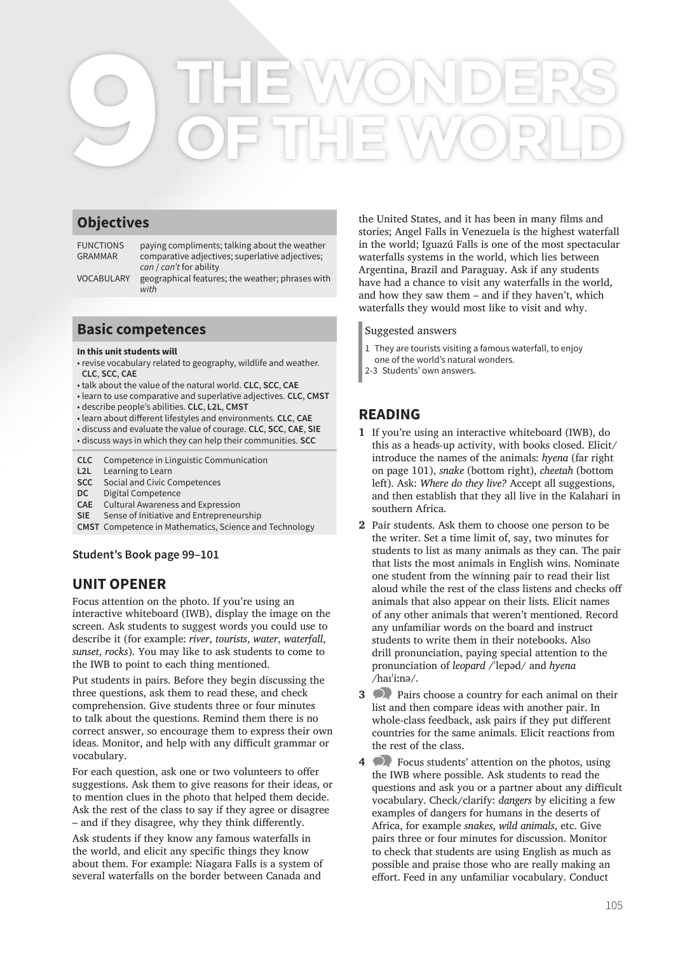# **THE WONDERS 9 OF THE WORLD**

# **Objectives**

FUNCTIONS paying compliments; talking about the weather GRAMMAR comparative adjectives; superlative adjectives; *can* / *can't* for ability

VOCABULARY geographical features; the weather; phrases with *with*

## **Basic competences**

#### **In this unit students will**

- revise vocabulary related to geography, wildlife and weather. **CLC**, **SCC**, **CAE**
- talk about the value of the natural world. **CLC**, **SCC**, **CAE**
- learn to use comparative and superlative adjectives. **CLC**, **CMST** • describe people's abilities. **CLC**, **L2L**, **CMST**
- learn about diff erent lifestyles and environments. **CLC**, **CAE**
- discuss and evaluate the value of courage. **CLC**, **SCC**, **CAE**, **SIE**
- discuss ways in which they can help their communities. **SCC**
- **CLC** Competence in Linguistic Communication
- **L2L** Learning to Learn
- **SCC** Social and Civic Competences
- **DC** Digital Competence
- **CAE** Cultural Awareness and Expression
- **SIE** Sense of Initiative and Entrepreneurship
- **CMST** Competence in Mathematics, Science and Technology

**Student's Book page 99–101**

# **UNIT OPENER**

Focus attention on the photo. If you're using an interactive whiteboard (IWB), display the image on the screen. Ask students to suggest words you could use to describe it (for example: *river*, *tourists*, *water*, *waterfall*, *sunset*, *rocks*). You may like to ask students to come to the IWB to point to each thing mentioned.

Put students in pairs. Before they begin discussing the three questions, ask them to read these, and check comprehension. Give students three or four minutes to talk about the questions. Remind them there is no correct answer, so encourage them to express their own ideas. Monitor, and help with any difficult grammar or vocabulary.

For each question, ask one or two volunteers to offer suggestions. Ask them to give reasons for their ideas, or to mention clues in the photo that helped them decide. Ask the rest of the class to say if they agree or disagree – and if they disagree, why they think differently.

Ask students if they know any famous waterfalls in the world, and elicit any specific things they know about them. For example: Niagara Falls is a system of several waterfalls on the border between Canada and

the United States, and it has been in many films and stories; Angel Falls in Venezuela is the highest waterfall in the world; Iguazú Falls is one of the most spectacular waterfalls systems in the world, which lies between Argentina, Brazil and Paraguay. Ask if any students have had a chance to visit any waterfalls in the world, and how they saw them – and if they haven't, which waterfalls they would most like to visit and why.

#### Suggested answers

- 1 They are tourists visiting a famous waterfall, to enjoy
- one of the world's natural wonders.
- 2-3 Students' own answers.

# **READING**

- **1** If you're using an interactive whiteboard (IWB), do this as a heads-up activity, with books closed. Elicit/ introduce the names of the animals: *hyena* (far right on page 101), *snake* (bottom right), *cheetah* (bottom left). Ask: *Where do they live?* Accept all suggestions, and then establish that they all live in the Kalahari in southern Africa.
- **2** Pair students. Ask them to choose one person to be the writer. Set a time limit of, say, two minutes for students to list as many animals as they can. The pair that lists the most animals in English wins. Nominate one student from the winning pair to read their list aloud while the rest of the class listens and checks off animals that also appear on their lists. Elicit names of any other animals that weren't mentioned. Record any unfamiliar words on the board and instruct students to write them in their notebooks. Also drill pronunciation, paying special attention to the pronunciation of *leopard* /ˈlepəd/ and *hyena* /haɪˈiːnə/.
- **3** Pairs choose a country for each animal on their list and then compare ideas with another pair. In whole-class feedback, ask pairs if they put different countries for the same animals. Elicit reactions from the rest of the class.
- **4** Focus students' attention on the photos, using the IWB where possible. Ask students to read the questions and ask you or a partner about any difficult vocabulary. Check/clarify: *dangers* by eliciting a few examples of dangers for humans in the deserts of Africa, for example *snakes*, *wild animals*, etc. Give pairs three or four minutes for discussion. Monitor to check that students are using English as much as possible and praise those who are really making an effort. Feed in any unfamiliar vocabulary. Conduct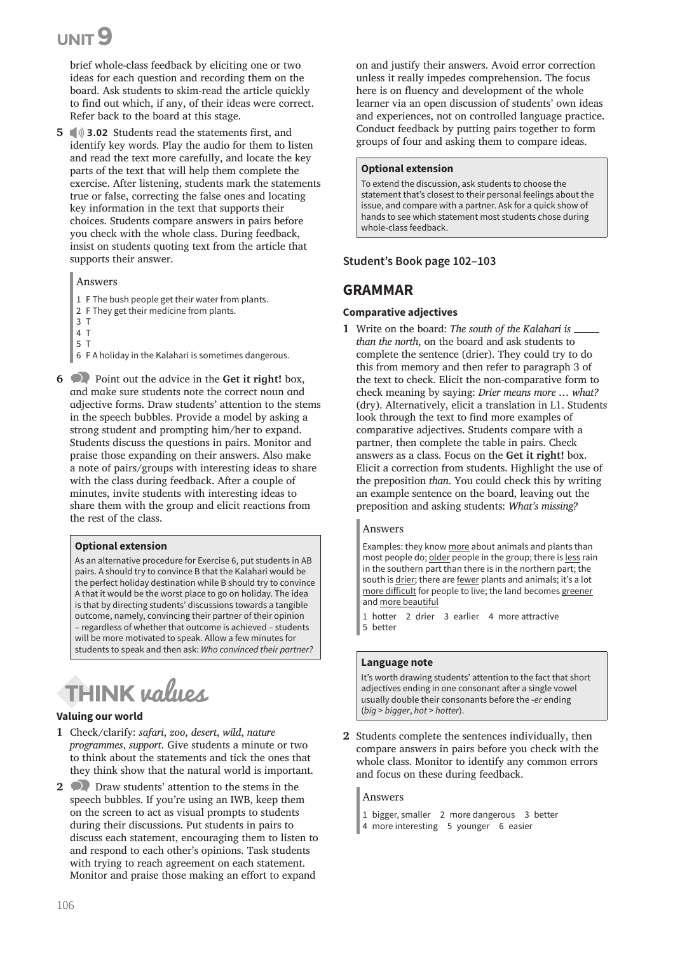brief whole-class feedback by eliciting one or two ideas for each question and recording them on the board. Ask students to skim-read the article quickly to find out which, if any, of their ideas were correct. Refer back to the board at this stage.

**5**  $\Diamond$  **3.02** Students read the statements first, and identify key words. Play the audio for them to listen and read the text more carefully, and locate the key parts of the text that will help them complete the exercise. After listening, students mark the statements true or false, correcting the false ones and locating key information in the text that supports their choices. Students compare answers in pairs before you check with the whole class. During feedback, insist on students quoting text from the article that supports their answer.

#### Answers

- 1 F The bush people get their water from plants.
- 2 F They get their medicine from plants.
- 3 T
- 4 T
- 5 T

6 F A holiday in the Kalahari is sometimes dangerous.

**6** Point out the advice in the **Get it right!** box, and make sure students note the correct noun and adjective forms. Draw students' attention to the stems in the speech bubbles. Provide a model by asking a strong student and prompting him/her to expand. Students discuss the questions in pairs. Monitor and praise those expanding on their answers. Also make a note of pairs/groups with interesting ideas to share with the class during feedback. After a couple of minutes, invite students with interesting ideas to share them with the group and elicit reactions from the rest of the class.

#### **Optional extension**

As an alternative procedure for Exercise 6, put students in AB pairs. A should try to convince B that the Kalahari would be the perfect holiday destination while B should try to convince A that it would be the worst place to go on holiday. The idea is that by directing students' discussions towards a tangible outcome, namely, convincing their partner of their opinion – regardless of whether that outcome is achieved – students will be more motivated to speak. Allow a few minutes for students to speak and then ask: *Who convinced their partner?*

# **THINK** values

#### **Valuing our world**

- **1** Check/clarify: *safari*, *zoo*, *desert*, *wild*, *nature programmes*, *support*. Give students a minute or two to think about the statements and tick the ones that they think show that the natural world is important.
- **2** Draw students' attention to the stems in the speech bubbles. If you're using an IWB, keep them on the screen to act as visual prompts to students during their discussions. Put students in pairs to discuss each statement, encouraging them to listen to and respond to each other's opinions. Task students with trying to reach agreement on each statement. Monitor and praise those making an effort to expand

on and justify their answers. Avoid error correction unless it really impedes comprehension. The focus here is on fluency and development of the whole learner via an open discussion of students' own ideas and experiences, not on controlled language practice. Conduct feedback by putting pairs together to form groups of four and asking them to compare ideas.

#### **Optional extension**

To extend the discussion, ask students to choose the statement that's closest to their personal feelings about the issue, and compare with a partner. Ask for a quick show of hands to see which statement most students chose during whole-class feedback.

#### **Student's Book page 102–103**

## **GRAMMAR**

#### **Comparative adjectives**

**1** Write on the board: *The south of the Kalahari is than the north*, on the board and ask students to complete the sentence (drier). They could try to do this from memory and then refer to paragraph 3 of the text to check. Elicit the non-comparative form to check meaning by saying: *Drier means more … what?*  (dry). Alternatively, elicit a translation in L1. Students look through the text to find more examples of comparative adjectives. Students compare with a partner, then complete the table in pairs. Check answers as a class. Focus on the **Get it right!** box. Elicit a correction from students. Highlight the use of the preposition *than*. You could check this by writing an example sentence on the board, leaving out the preposition and asking students: *What's missing?*

#### Answers

Examples: they know more about animals and plants than most people do; older people in the group; there is less rain in the southern part than there is in the northern part; the south is drier; there are fewer plants and animals; it's a lot more difficult for people to live; the land becomes greener and more beautiful

1 hotter 2 drier 3 earlier 4 more attractive 5 better

#### **Language note**

It's worth drawing students' attention to the fact that short adjectives ending in one consonant after a single vowel usually double their consonants before the -*er* ending (*big* > *bigger*, *hot* > *hotter*).

**2** Students complete the sentences individually, then compare answers in pairs before you check with the whole class. Monitor to identify any common errors and focus on these during feedback.

#### Answers

- 1 bigger, smaller 2 more dangerous 3 better
- 4 more interesting 5 younger 6 easier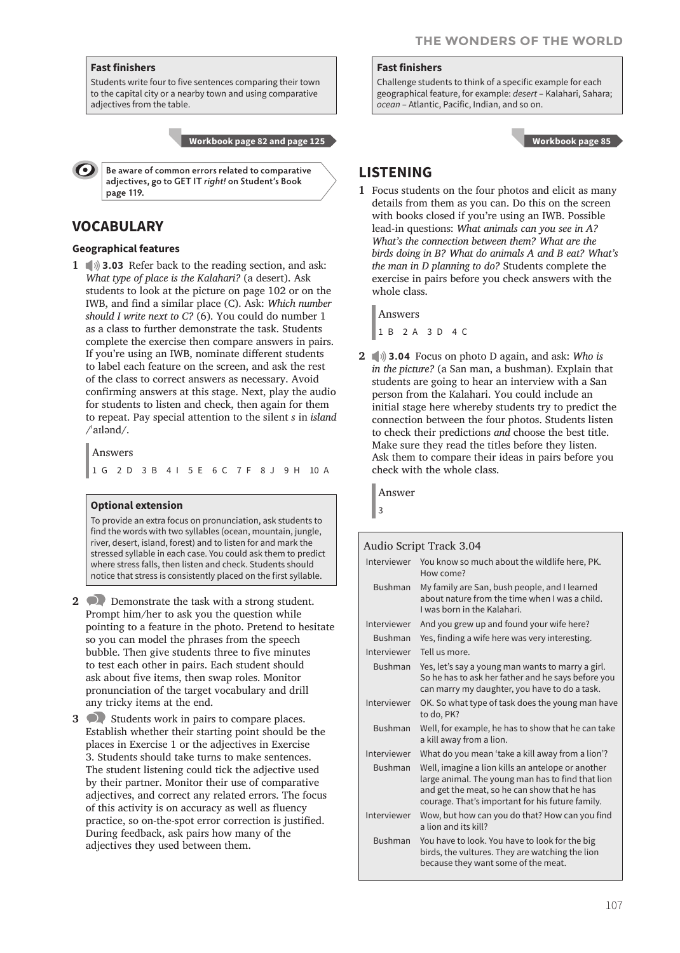#### **Fast finishers**

Students write four to five sentences comparing their town to the capital city or a nearby town and using comparative adjectives from the table.

 **Workbook page 82 and page 125**

**Be aware of common errors related to comparative adjectives, go to GET IT** *right!* **on Student's Book page 119.**

# **VOCABULARY**

#### **Geographical features**

**1 1 3.03** Refer back to the reading section, and ask: *What type of place is the Kalahari?* (a desert). Ask students to look at the picture on page 102 or on the IWB, and find a similar place (C). Ask: *Which number should I write next to C?* (6). You could do number 1 as a class to further demonstrate the task. Students complete the exercise then compare answers in pairs. If you're using an IWB, nominate different students to label each feature on the screen, and ask the rest of the class to correct answers as necessary. Avoid confirming answers at this stage. Next, play the audio for students to listen and check, then again for them to repeat. Pay special attention to the silent *s* in *island*  $/$ ailənd $/$ .

Answers

1 G 2 D 3 B 4 I 5 E 6 C 7 F 8 J 9 H 10 A

#### **Optional extension**

To provide an extra focus on pronunciation, ask students to find the words with two syllables (ocean, mountain, jungle, river, desert, island, forest) and to listen for and mark the stressed syllable in each case. You could ask them to predict where stress falls, then listen and check. Students should notice that stress is consistently placed on the first syllable.

- **2** Demonstrate the task with a strong student. Prompt him/her to ask you the question while pointing to a feature in the photo. Pretend to hesitate so you can model the phrases from the speech bubble. Then give students three to five minutes to test each other in pairs. Each student should ask about five items, then swap roles. Monitor pronunciation of the target vocabulary and drill any tricky items at the end.
- **3** Students work in pairs to compare places. Establish whether their starting point should be the places in Exercise 1 or the adjectives in Exercise 3. Students should take turns to make sentences. The student listening could tick the adjective used by their partner. Monitor their use of comparative adjectives, and correct any related errors. The focus of this activity is on accuracy as well as fluency practice, so on-the-spot error correction is justified. During feedback, ask pairs how many of the adjectives they used between them.

#### **Fast finishers**

Challenge students to think of a specific example for each geographical feature, for example: *desert* – Kalahari, Sahara; *ocean* – Atlantic, Pacific, Indian, and so on.

 **Workbook page 85**

# **LISTENING**

**1** Focus students on the four photos and elicit as many details from them as you can. Do this on the screen with books closed if you're using an IWB. Possible lead-in questions: *What animals can you see in A? What's the connection between them? What are the birds doing in B? What do animals A and B eat? What's the man in D planning to do?* Students complete the exercise in pairs before you check answers with the whole class.

Answers

1 B 2 A 3 D 4 C

**2 3.04** Focus on photo D again, and ask: *Who is in the picture?* (a San man, a bushman). Explain that students are going to hear an interview with a San person from the Kalahari. You could include an initial stage here whereby students try to predict the connection between the four photos. Students listen to check their predictions *and* choose the best title. Make sure they read the titles before they listen. Ask them to compare their ideas in pairs before you check with the whole class.

Answer

3

Audio Script Track 3.04 Interviewer You know so much about the wildlife here, PK. How come? Bushman My family are San, bush people, and I learned about nature from the time when I was a child. I was born in the Kalahari. Interviewer And you grew up and found your wife here? Bushman Yes, finding a wife here was very interesting. Interviewer Tell us more. Bushman Yes, let's say a young man wants to marry a girl. So he has to ask her father and he says before you can marry my daughter, you have to do a task. Interviewer OK. So what type of task does the young man have to do, PK? Bushman Well, for example, he has to show that he can take a kill away from a lion. Interviewer What do you mean 'take a kill away from a lion'? Bushman Well, imagine a lion kills an antelope or another large animal. The young man has to find that lion and get the meat, so he can show that he has courage. That's important for his future family. Interviewer Wow, but how can you do that? How can you find a lion and its kill? Bushman You have to look. You have to look for the big birds, the vultures. They are watching the lion because they want some of the meat.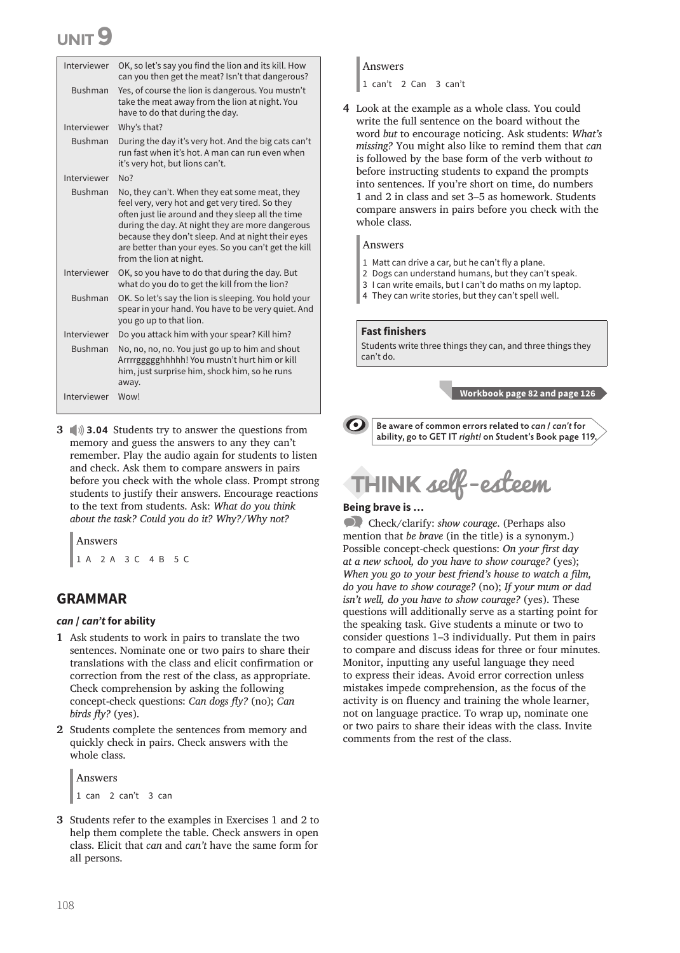| Interviewer    | OK, so let's say you find the lion and its kill. How<br>can you then get the meat? Isn't that dangerous?                                                                                                                                                                                                                                          |
|----------------|---------------------------------------------------------------------------------------------------------------------------------------------------------------------------------------------------------------------------------------------------------------------------------------------------------------------------------------------------|
| <b>Bushman</b> | Yes, of course the lion is dangerous. You mustn't<br>take the meat away from the lion at night. You<br>have to do that during the day.                                                                                                                                                                                                            |
| Interviewer    | Why's that?                                                                                                                                                                                                                                                                                                                                       |
| <b>Bushman</b> | During the day it's very hot. And the big cats can't<br>run fast when it's hot. A man can run even when<br>it's very hot, but lions can't.                                                                                                                                                                                                        |
| Interviewer    | No?                                                                                                                                                                                                                                                                                                                                               |
| <b>Bushman</b> | No, they can't. When they eat some meat, they<br>feel very, very hot and get very tired. So they<br>often just lie around and they sleep all the time<br>during the day. At night they are more dangerous<br>because they don't sleep. And at night their eyes<br>are better than your eyes. So you can't get the kill<br>from the lion at night. |
| Interviewer    | OK, so you have to do that during the day. But<br>what do you do to get the kill from the lion?                                                                                                                                                                                                                                                   |
| <b>Bushman</b> | OK. So let's say the lion is sleeping. You hold your<br>spear in your hand. You have to be very quiet. And<br>you go up to that lion.                                                                                                                                                                                                             |
| Interviewer    | Do you attack him with your spear? Kill him?                                                                                                                                                                                                                                                                                                      |
| <b>Bushman</b> | No, no, no, no. You just go up to him and shout<br>Arrrrggggghhhhh! You mustn't hurt him or kill<br>him, just surprise him, shock him, so he runs<br>away.                                                                                                                                                                                        |
| Interviewer    | Wow!                                                                                                                                                                                                                                                                                                                                              |

**3 3.04** Students try to answer the questions from memory and guess the answers to any they can't remember. Play the audio again for students to listen and check. Ask them to compare answers in pairs before you check with the whole class. Prompt strong students to justify their answers. Encourage reactions to the text from students. Ask: *What do you think about the task? Could you do it? Why?/Why not?*

Answers

1 A 2 A 3 C 4 B 5 C

### **GRAMMAR**

#### *can* **/** *can't* **for ability**

- **1** Ask students to work in pairs to translate the two sentences. Nominate one or two pairs to share their translations with the class and elicit confirmation or correction from the rest of the class, as appropriate. Check comprehension by asking the following concept-check questions: *Can dogs fly?* (no); *Can birds fly?* (yes).
- **2** Students complete the sentences from memory and quickly check in pairs. Check answers with the whole class.

Answers 1 can 2 can't 3 can

**3** Students refer to the examples in Exercises 1 and 2 to help them complete the table. Check answers in open class. Elicit that *can* and *can't* have the same form for all persons.

#### Answers

1 can't 2 Can 3 can't

**4** Look at the example as a whole class. You could write the full sentence on the board without the word *but* to encourage noticing. Ask students: *What's missing?* You might also like to remind them that *can* is followed by the base form of the verb without *to* before instructing students to expand the prompts into sentences. If you're short on time, do numbers 1 and 2 in class and set 3–5 as homework. Students compare answers in pairs before you check with the whole class.

#### Answers

- 1 Matt can drive a car, but he can't fly a plane.
- 2 Dogs can understand humans, but they can't speak.
- 3 I can write emails, but I can't do maths on my laptop.
- 4 They can write stories, but they can't spell well.

#### **Fast finishers**

Students write three things they can, and three things they can't do.

 **Workbook page 82 and page 126**

 $\bullet$ 

**Be aware of common errors related to** *can* **/** *can't* **for ability, go to GET IT** *right!* **on Student's Book page 119.**

# HINK self-esteem

#### **Being brave is …**

 Check/clarify: *show courage*. (Perhaps also mention that *be brave* (in the title) is a synonym.) Possible concept-check questions: *On your first day at a new school, do you have to show courage?* (yes); *When you go to your best friend's house to watch a film, do you have to show courage?* (no); *If your mum or dad isn't well, do you have to show courage?* (yes). These questions will additionally serve as a starting point for the speaking task. Give students a minute or two to consider questions 1–3 individually. Put them in pairs to compare and discuss ideas for three or four minutes. Monitor, inputting any useful language they need to express their ideas. Avoid error correction unless mistakes impede comprehension, as the focus of the activity is on fluency and training the whole learner, not on language practice. To wrap up, nominate one or two pairs to share their ideas with the class. Invite comments from the rest of the class.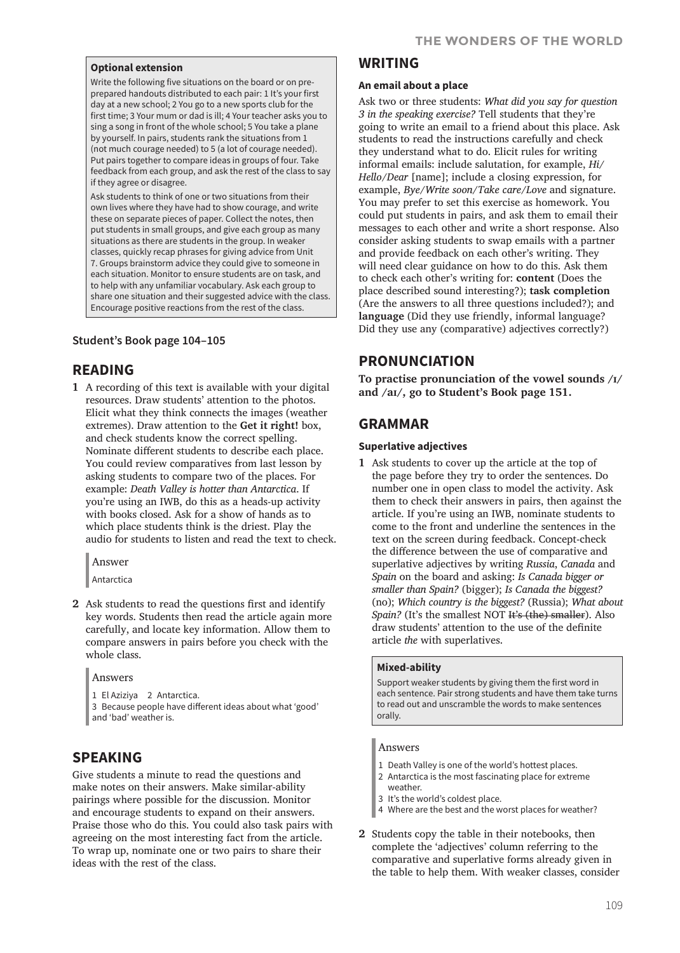#### **Optional extension**

Write the following five situations on the board or on preprepared handouts distributed to each pair: 1 It's your first day at a new school; 2 You go to a new sports club for the first time; 3 Your mum or dad is ill; 4 Your teacher asks you to sing a song in front of the whole school; 5 You take a plane by yourself. In pairs, students rank the situations from 1 (not much courage needed) to 5 (a lot of courage needed). Put pairs together to compare ideas in groups of four. Take feedback from each group, and ask the rest of the class to say if they agree or disagree.

Ask students to think of one or two situations from their own lives where they have had to show courage, and write these on separate pieces of paper. Collect the notes, then put students in small groups, and give each group as many situations as there are students in the group. In weaker classes, quickly recap phrases for giving advice from Unit 7. Groups brainstorm advice they could give to someone in each situation. Monitor to ensure students are on task, and to help with any unfamiliar vocabulary. Ask each group to share one situation and their suggested advice with the class. Encourage positive reactions from the rest of the class.

#### **Student's Book page 104–105**

## **READING**

**1** A recording of this text is available with your digital resources. Draw students' attention to the photos. Elicit what they think connects the images (weather extremes). Draw attention to the **Get it right!** box, and check students know the correct spelling. Nominate different students to describe each place. You could review comparatives from last lesson by asking students to compare two of the places. For example: *Death Valley is hotter than Antarctica*. If you're using an IWB, do this as a heads-up activity with books closed. Ask for a show of hands as to which place students think is the driest. Play the audio for students to listen and read the text to check.

Answer

Antarctica

**2** Ask students to read the questions first and identify key words. Students then read the article again more carefully, and locate key information. Allow them to compare answers in pairs before you check with the whole class.

Answers

- 1 El Aziziya 2 Antarctica.
- 3 Because people have different ideas about what 'good' and 'bad' weather is.

# **SPEAKING**

Give students a minute to read the questions and make notes on their answers. Make similar-ability pairings where possible for the discussion. Monitor and encourage students to expand on their answers. Praise those who do this. You could also task pairs with agreeing on the most interesting fact from the article. To wrap up, nominate one or two pairs to share their ideas with the rest of the class.

# **WRITING**

#### **An email about a place**

Ask two or three students: *What did you say for question 3 in the speaking exercise?* Tell students that they're going to write an email to a friend about this place. Ask students to read the instructions carefully and check they understand what to do. Elicit rules for writing informal emails: include salutation, for example, *Hi*/ *Hello*/*Dear* [name]; include a closing expression, for example, *Bye*/*Write soon*/*Take care*/*Love* and signature. You may prefer to set this exercise as homework. You could put students in pairs, and ask them to email their messages to each other and write a short response. Also consider asking students to swap emails with a partner and provide feedback on each other's writing. They will need clear guidance on how to do this. Ask them to check each other's writing for: **content** (Does the place described sound interesting?); **task completion** (Are the answers to all three questions included?); and **language** (Did they use friendly, informal language? Did they use any (comparative) adjectives correctly?)

# **PRONUNCIATION**

**To practise pronunciation of the vowel sounds /ɪ/ and /aɪ/, go to Student's Book page 151.**

# **GRAMMAR**

#### **Superlative adjectives**

**1** Ask students to cover up the article at the top of the page before they try to order the sentences. Do number one in open class to model the activity. Ask them to check their answers in pairs, then against the article. If you're using an IWB, nominate students to come to the front and underline the sentences in the text on the screen during feedback. Concept-check the difference between the use of comparative and superlative adjectives by writing *Russia*, *Canada* and *Spain* on the board and asking: *Is Canada bigger or smaller than Spain?* (bigger); *Is Canada the biggest?*  (no); *Which country is the biggest?* (Russia); *What about Spain?* (It's the smallest NOT It's (the) smaller). Also draw students' attention to the use of the definite article *the* with superlatives.

#### **Mixed-ability**

Support weaker students by giving them the first word in each sentence. Pair strong students and have them take turns to read out and unscramble the words to make sentences orally.

#### Answers

- 1 Death Valley is one of the world's hottest places.
- 2 Antarctica is the most fascinating place for extreme weather.
- 3 It's the world's coldest place.
- 4 Where are the best and the worst places for weather?
- **2** Students copy the table in their notebooks, then complete the 'adjectives' column referring to the comparative and superlative forms already given in the table to help them. With weaker classes, consider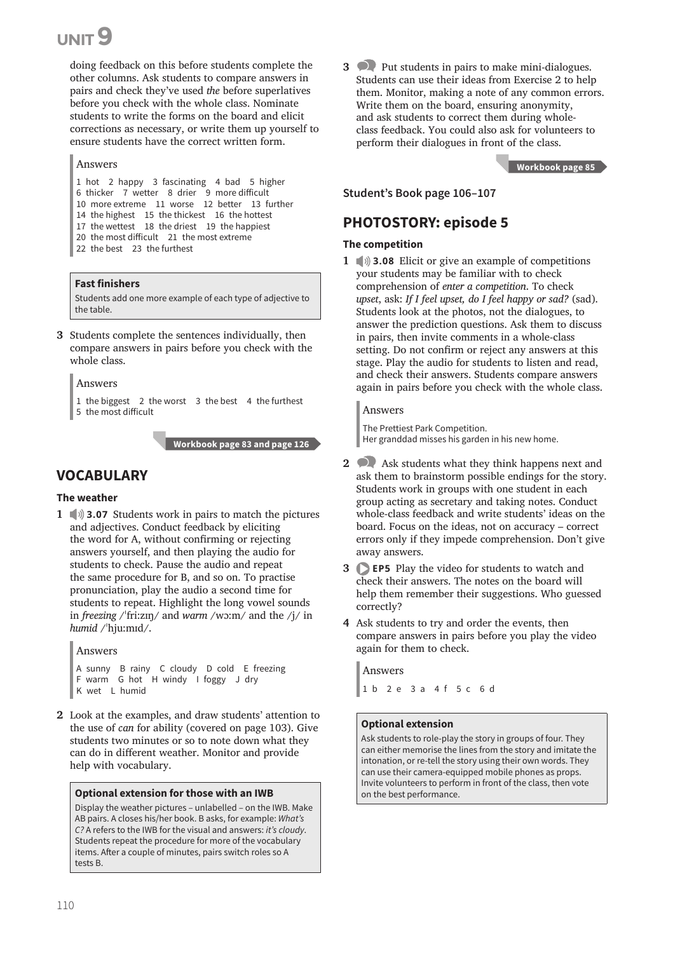doing feedback on this before students complete the other columns. Ask students to compare answers in pairs and check they've used *the* before superlatives before you check with the whole class. Nominate students to write the forms on the board and elicit corrections as necessary, or write them up yourself to ensure students have the correct written form.

#### Answers

 hot 2 happy 3 fascinating 4 bad 5 higher thicker 7 wetter 8 drier 9 more difficult more extreme 11 worse 12 better 13 further the highest 15 the thickest 16 the hottest

- 17 the wettest 18 the driest 19 the happiest
- 20 the most difficult 21 the most extreme
- 22 the best 23 the furthest

#### **Fast finishers**

Students add one more example of each type of adjective to the table.

**3** Students complete the sentences individually, then compare answers in pairs before you check with the whole class.

#### Answers

1 the biggest 2 the worst 3 the best 4 the furthest 5 the most difficult

 **Workbook page 83 and page 126**

# **VOCABULARY**

#### **The weather**

**1 3.07** Students work in pairs to match the pictures and adjectives. Conduct feedback by eliciting the word for A, without confirming or rejecting answers yourself, and then playing the audio for students to check. Pause the audio and repeat the same procedure for B, and so on. To practise pronunciation, play the audio a second time for students to repeat. Highlight the long vowel sounds in *freezing* /ˈfri:zɪŋ/ and *warm* /wɔ:m/ and the /j/ in *humid* /ˈhju:mɪd/.

Answers A sunny B rainy C cloudy D cold E freezing F warm G hot H windy I foggy J dry

- K wet L humid
- **2** Look at the examples, and draw students' attention to the use of *can* for ability (covered on page 103). Give students two minutes or so to note down what they can do in different weather. Monitor and provide help with vocabulary.

#### **Optional extension for those with an IWB**

Display the weather pictures – unlabelled – on the IWB. Make AB pairs. A closes his/her book. B asks, for example: *What's C?* A refers to the IWB for the visual and answers: *it's cloudy*. Students repeat the procedure for more of the vocabulary items. After a couple of minutes, pairs switch roles so A tests B.

**3** Put students in pairs to make mini-dialogues. Students can use their ideas from Exercise 2 to help them. Monitor, making a note of any common errors. Write them on the board, ensuring anonymity, and ask students to correct them during wholeclass feedback. You could also ask for volunteers to perform their dialogues in front of the class.

 **Workbook page 85**

**Student's Book page 106–107**

# **PHOTOSTORY: episode 5**

#### **The competition**

**1 1 3.08** Elicit or give an example of competitions your students may be familiar with to check comprehension of *enter a competition*. To check *upset*, ask: *If I feel upset, do I feel happy or sad?* (sad). Students look at the photos, not the dialogues, to answer the prediction questions. Ask them to discuss in pairs, then invite comments in a whole-class setting. Do not confirm or reject any answers at this stage. Play the audio for students to listen and read, and check their answers. Students compare answers again in pairs before you check with the whole class.

#### Answers

The Prettiest Park Competition. Her granddad misses his garden in his new home.

- **2** Ask students what they think happens next and ask them to brainstorm possible endings for the story. Students work in groups with one student in each group acting as secretary and taking notes. Conduct whole-class feedback and write students' ideas on the board. Focus on the ideas, not on accuracy – correct errors only if they impede comprehension. Don't give away answers.
- **3 EP5** Play the video for students to watch and check their answers. The notes on the board will help them remember their suggestions. Who guessed correctly?
- **4** Ask students to try and order the events, then compare answers in pairs before you play the video again for them to check.

Answers

1 b 2 e 3 a 4 f 5 c 6 d

#### **Optional extension**

Ask students to role-play the story in groups of four. They can either memorise the lines from the story and imitate the intonation, or re-tell the story using their own words. They can use their camera-equipped mobile phones as props. Invite volunteers to perform in front of the class, then vote on the best performance.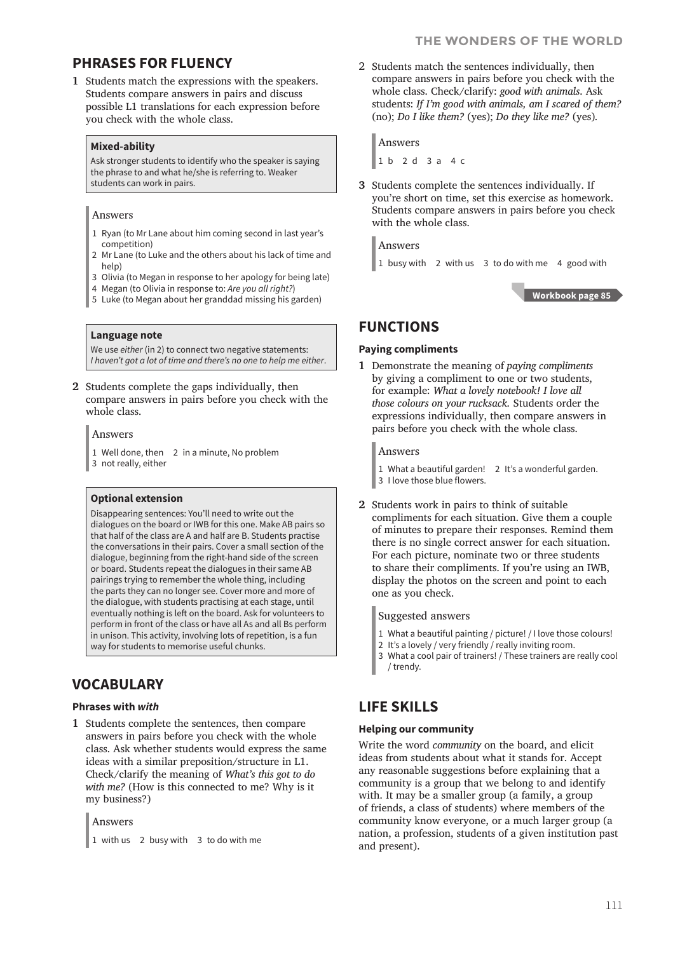#### **THE WONDERS OF THE WORLD**

# **PHRASES FOR FLUENCY**

**1** Students match the expressions with the speakers. Students compare answers in pairs and discuss possible L1 translations for each expression before you check with the whole class.

#### **Mixed-ability**

Ask stronger students to identify who the speaker is saying the phrase to and what he/she is referring to. Weaker students can work in pairs.

#### Answers

- 1 Ryan (to Mr Lane about him coming second in last year's competition)
- 2 Mr Lane (to Luke and the others about his lack of time and help)
- 3 Olivia (to Megan in response to her apology for being late)
- 4 Megan (to Olivia in response to: *Are you all right?*)
- 5 Luke (to Megan about her granddad missing his garden)

#### **Language note**

We use *either* (in 2) to connect two negative statements: *I haven't got a lot of time and there's no one to help me either*.

**2** Students complete the gaps individually, then compare answers in pairs before you check with the whole class.

#### Answers

- 1 Well done, then 2 in a minute, No problem
- 3 not really, either

#### **Optional extension**

Disappearing sentences: You'll need to write out the dialogues on the board or IWB for this one. Make AB pairs so that half of the class are A and half are B. Students practise the conversations in their pairs. Cover a small section of the dialogue, beginning from the right-hand side of the screen or board. Students repeat the dialogues in their same AB pairings trying to remember the whole thing, including the parts they can no longer see. Cover more and more of the dialogue, with students practising at each stage, until eventually nothing is left on the board. Ask for volunteers to perform in front of the class or have all As and all Bs perform in unison. This activity, involving lots of repetition, is a fun way for students to memorise useful chunks.

# **VOCABULARY**

#### **Phrases with** *with*

**1** Students complete the sentences, then compare answers in pairs before you check with the whole class. Ask whether students would express the same ideas with a similar preposition/structure in L1. Check/clarify the meaning of *What's this got to do with me?* (How is this connected to me? Why is it my business?)

#### Answers

1 with us 2 busy with 3 to do with me

2 Students match the sentences individually, then compare answers in pairs before you check with the whole class. Check/clarify: *good with animals*. Ask students: *If I'm good with animals, am I scared of them?*  (no); *Do I like them?* (yes); *Do they like me?* (yes)*.*

Answers

1 b 2 d 3 a 4 c

**3** Students complete the sentences individually. If you're short on time, set this exercise as homework. Students compare answers in pairs before you check with the whole class.

Answers

1 busy with 2 with us 3 to do with me 4 good with

 **Workbook page 85**

## **FUNCTIONS**

#### **Paying compliments**

**1** Demonstrate the meaning of *paying compliments* by giving a compliment to one or two students, for example: *What a lovely notebook! I love all those colours on your rucksack.* Students order the expressions individually, then compare answers in pairs before you check with the whole class.

#### Answers

- 1 What a beautiful garden! 2 It's a wonderful garden.
- 3 I love those blue flowers.
- **2** Students work in pairs to think of suitable compliments for each situation. Give them a couple of minutes to prepare their responses. Remind them there is no single correct answer for each situation. For each picture, nominate two or three students to share their compliments. If you're using an IWB, display the photos on the screen and point to each one as you check.

#### Suggested answers

- 1 What a beautiful painting / picture! / I love those colours!
- 2 It's a lovely / very friendly / really inviting room.
- 3 What a cool pair of trainers! / These trainers are really cool / trendy.

# **LIFE SKILLS**

#### **Helping our community**

Write the word *community* on the board, and elicit ideas from students about what it stands for. Accept any reasonable suggestions before explaining that a community is a group that we belong to and identify with. It may be a smaller group (a family, a group of friends, a class of students) where members of the community know everyone, or a much larger group (a nation, a profession, students of a given institution past and present).